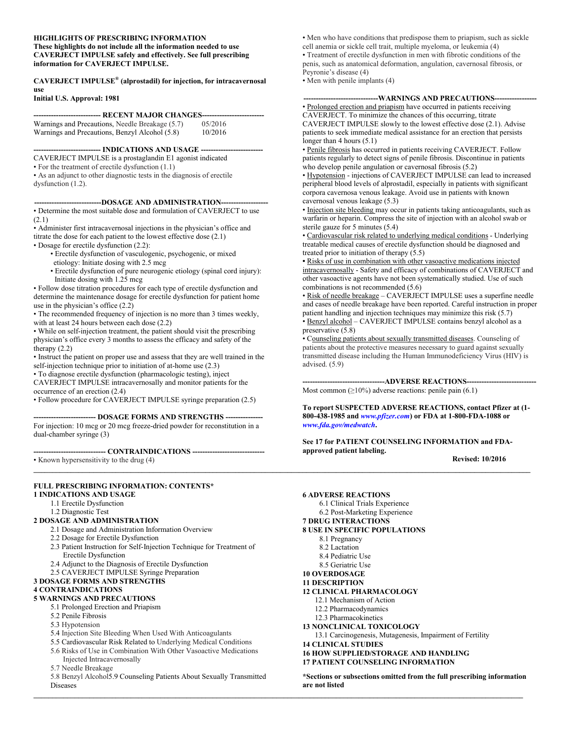#### **HIGHLIGHTS OF PRESCRIBING INFORMATION These highlights do not include all the information needed to use CAVERJECT IMPULSE safely and effectively. See full prescribing information for CAVERJECT IMPULSE.**

**CAVERJECT IMPULSE® (alprostadil) for injection, for intracavernosal use**

#### **Initial U.S. Approval: 1981**

| --------------------------- RECENT MAJOR CHANGES-------------------------- |         |  |  |
|----------------------------------------------------------------------------|---------|--|--|
| Warnings and Precautions, Needle Breakage (5.7)                            | 05/2016 |  |  |
| Warnings and Precautions, Benzyl Alcohol (5.8)                             | 10/2016 |  |  |

**--------------------------- INDICATIONS AND USAGE -------------------------**

CAVERJECT IMPULSE is a prostaglandin E1 agonist indicated

• For the treatment of erectile dysfunction (1.1)

• As an adjunct to other diagnostic tests in the diagnosis of erectile dysfunction (1.2).

#### **---------------------------DOSAGE AND ADMINISTRATION-------------------**

• Determine the most suitable dose and formulation of CAVERJECT to use (2.1)

• Administer first intracavernosal injections in the physician's office and titrate the dose for each patient to the lowest effective dose (2.1)

• Dosage for erectile dysfunction (2.2):

• Erectile dysfunction of vasculogenic, psychogenic, or mixed

- etiology: Initiate dosing with 2.5 mcg
- Erectile dysfunction of pure neurogenic etiology (spinal cord injury): Initiate dosing with 1.25 mcg

• Follow dose titration procedures for each type of erectile dysfunction and determine the maintenance dosage for erectile dysfunction for patient home use in the physician's office (2.2)

• The recommended frequency of injection is no more than 3 times weekly, with at least 24 hours between each dose (2.2)

• While on self-injection treatment, the patient should visit the prescribing physician's office every 3 months to assess the efficacy and safety of the therapy (2.2)

• Instruct the patient on proper use and assess that they are well trained in the self-injection technique prior to initiation of at-home use (2.3)

• To diagnose erectile dysfunction (pharmacologic testing), inject

CAVERJECT IMPULSE intracavernosally and monitor patients for the occurrence of an erection (2.4)

• Follow procedure for CAVERJECT IMPULSE syringe preparation (2.5)

**------------------------- DOSAGE FORMS AND STRENGTHS ---------------**

**\_\_\_\_\_\_\_\_\_\_\_\_\_\_\_\_\_\_\_\_\_\_\_\_\_\_\_\_\_\_\_\_\_\_\_\_\_\_\_\_\_\_\_\_\_\_\_\_\_\_\_\_\_\_\_\_\_\_\_\_\_\_\_\_\_\_\_\_\_\_\_\_\_\_\_\_\_\_\_\_\_\_\_\_\_\_\_\_\_\_\_\_\_\_\_\_\_\_\_\_\_\_\_\_\_\_\_\_\_\_\_\_\_\_\_\_\_\_\_\_\_\_\_\_\_\_\_\_\_\_\_\_\_**

**\_\_\_\_\_\_\_\_\_\_\_\_\_\_\_\_\_\_\_\_\_\_\_\_\_\_\_\_\_\_\_\_\_\_\_\_\_\_\_\_\_\_\_\_\_\_\_\_\_\_\_\_\_\_\_\_\_\_\_\_\_\_\_\_\_\_\_\_\_\_\_\_\_\_\_\_\_\_\_\_\_\_\_\_\_\_\_\_\_\_\_\_\_\_\_\_\_\_\_\_\_\_\_\_\_\_\_\_\_\_\_\_\_\_\_\_\_\_\_\_\_\_\_\_\_\_\_\_\_\_\_**

For injection: 10 mcg or 20 mcg freeze-dried powder for reconstitution in a dual-chamber syringe (3)

**----------------------------- CONTRAINDICATIONS -----------------------------** • Known hypersensitivity to the drug (4)

**FULL PRESCRIBING INFORMATION: CONTENTS\***

#### **1 INDICATIONS AND USAGE**

1.1 Erectile Dysfunction

#### 1.2 Diagnostic Test

#### **2 DOSAGE AND ADMINISTRATION**

- 2.1 Dosage and Administration Information Overview
- 2.2 Dosage for Erectile Dysfunction
- 2.3 Patient Instruction for Self-Injection Technique for Treatment of Erectile Dysfunction
- 2.4 Adjunct to the Diagnosis of Erectile Dysfunction
- 2.5 CAVERJECT IMPULSE Syringe Preparation

#### **3 DOSAGE FORMS AND STRENGTHS**

#### **4 CONTRAINDICATIONS**

- **5 WARNINGS AND PRECAUTIONS** 
	- 5.1 Prolonged Erection and Priapism
	- 5.2 Penile Fibrosis
	- 5.3 Hypotension
	- 5.4 Injection Site Bleeding When Used With Anticoagulants
	- 5.5 Cardiovascular Risk Related to Underlying Medical Conditions
	- 5.6 Risks of Use in Combination With Other Vasoactive Medications Injected Intracavernosally
	- 5.7 Needle Breakage

5.8 Benzyl Alcohol5.9 Counseling Patients About Sexually Transmitted Diseases

• Men who have conditions that predispose them to priapism, such as sickle cell anemia or sickle cell trait, multiple myeloma, or leukemia (4) • Treatment of erectile dysfunction in men with fibrotic conditions of the penis, such as anatomical deformation, angulation, cavernosal fibrosis, or Peyronie's disease (4)

• Men with penile implants (4)

#### ---WARNINGS AND PRECAUTIONS--

• Prolonged erection and priapism have occurred in patients receiving CAVERJECT. To minimize the chances of this occurring, titrate CAVERJECT IMPULSE slowly to the lowest effective dose (2.1). Advise patients to seek immediate medical assistance for an erection that persists longer than 4 hours (5.1)

• Penile fibrosis has occurred in patients receiving CAVERJECT. Follow patients regularly to detect signs of penile fibrosis. Discontinue in patients who develop penile angulation or cavernosal fibrosis (5.2)

• Hypotension - injections of CAVERJECT IMPULSE can lead to increased peripheral blood levels of alprostadil, especially in patients with significant corpora cavernosa venous leakage. Avoid use in patients with known cavernosal venous leakage (5.3)

• Injection site bleeding may occur in patients taking anticoagulants, such as warfarin or heparin. Compress the site of injection with an alcohol swab or sterile gauze for 5 minutes (5.4)

• Cardiovascular risk related to underlying medical conditions - Underlying treatable medical causes of erectile dysfunction should be diagnosed and treated prior to initiation of therapy (5.5)

**•** Risks of use in combination with other vasoactive medications injected intracavernosally - Safety and efficacy of combinations of CAVERJECT and other vasoactive agents have not been systematically studied. Use of such combinations is not recommended (5.6)

• Risk of needle breakage – CAVERJECT IMPULSE uses a superfine needle and cases of needle breakage have been reported. Careful instruction in proper patient handling and injection techniques may minimize this risk (5.7) • Benzyl alcohol – CAVERJECT IMPULSE contains benzyl alcohol as a preservative (5.8)

• Counseling patients about sexually transmitted diseases. Counseling of patients about the protective measures necessary to guard against sexually transmitted disease including the Human Immunodeficiency Virus (HIV) is advised. (5.9)

----ADVERSE REACTIONS---Most common ( $\geq$ 10%) adverse reactions: penile pain (6.1)

**To report SUSPECTED ADVERSE REACTIONS, contact Pfizer at (1- 800-438-1985 and** *[www.pfizer.com](http://www.pfizer.com/)***) or FDA at 1-800-FDA-1088 or**  *[www.fda.gov/medwatch](http://www.fda.gov/medwatch)***.**

**See 17 for PATIENT COUNSELING INFORMATION and FDAapproved patient labeling.**

 **Revised: 10/2016**

**6 ADVERSE REACTIONS**  6.1 Clinical Trials Experience 6.2 Post-Marketing Experience **7 DRUG INTERACTIONS 8 USE IN SPECIFIC POPULATIONS**  8.1 Pregnancy 8.2 Lactation 8.4 Pediatric Use 8.5 Geriatric Use **10 OVERDOSAGE 11 DESCRIPTION 12 CLINICAL PHARMACOLOGY**  12.1 Mechanism of Action 12.2 Pharmacodynamics 12.3 Pharmacokinetics **13 NONCLINICAL TOXICOLOGY**  13.1 Carcinogenesis, Mutagenesis, Impairment of Fertility **14 CLINICAL STUDIES 16 HOW SUPPLIED/STORAGE AND HANDLING 17 PATIENT COUNSELING INFORMATION** 

**\*Sections or subsections omitted from the full prescribing information are not listed**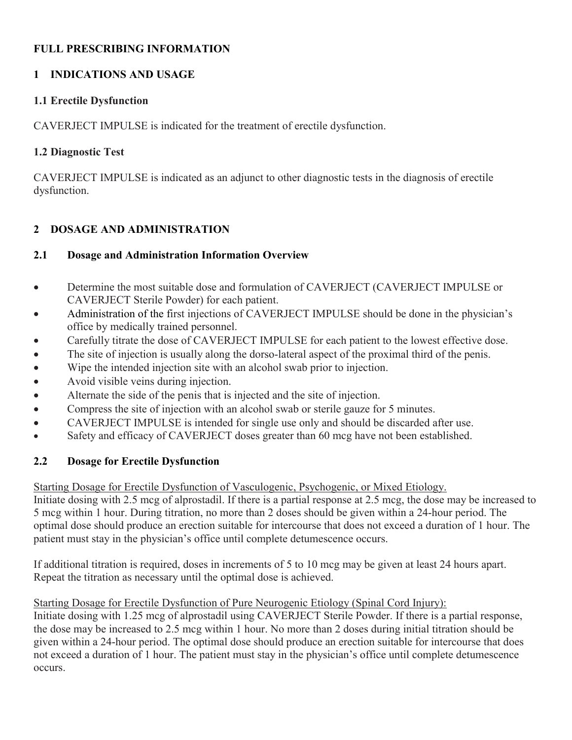# **FULL PRESCRIBING INFORMATION**

# **1 INDICATIONS AND USAGE**

# **1.1 Erectile Dysfunction**

CAVERJECT IMPULSE is indicated for the treatment of erectile dysfunction.

# **1.2 Diagnostic Test**

CAVERJECT IMPULSE is indicated as an adjunct to other diagnostic tests in the diagnosis of erectile dysfunction.

# **2 DOSAGE AND ADMINISTRATION**

# **2.1 Dosage and Administration Information Overview**

- Determine the most suitable dose and formulation of CAVERJECT (CAVERJECT IMPULSE or CAVERJECT Sterile Powder) for each patient.
- Administration of the first injections of CAVERJECT IMPULSE should be done in the physician's office by medically trained personnel.
- Carefully titrate the dose of CAVERJECT IMPULSE for each patient to the lowest effective dose.
- The site of injection is usually along the dorso-lateral aspect of the proximal third of the penis.
- Wipe the intended injection site with an alcohol swab prior to injection.
- Avoid visible veins during injection.
- Alternate the side of the penis that is injected and the site of injection.
- Compress the site of injection with an alcohol swab or sterile gauze for 5 minutes.
- CAVERJECT IMPULSE is intended for single use only and should be discarded after use.
- Safety and efficacy of CAVERJECT doses greater than 60 mcg have not been established.

# **2.2 Dosage for Erectile Dysfunction**

Starting Dosage for Erectile Dysfunction of Vasculogenic, Psychogenic, or Mixed Etiology.

Initiate dosing with 2.5 mcg of alprostadil. If there is a partial response at 2.5 mcg, the dose may be increased to 5 mcg within 1 hour. During titration, no more than 2 doses should be given within a 24-hour period. The optimal dose should produce an erection suitable for intercourse that does not exceed a duration of 1 hour. The patient must stay in the physician's office until complete detumescence occurs.

If additional titration is required, doses in increments of 5 to 10 mcg may be given at least 24 hours apart. Repeat the titration as necessary until the optimal dose is achieved.

Starting Dosage for Erectile Dysfunction of Pure Neurogenic Etiology (Spinal Cord Injury):

Initiate dosing with 1.25 mcg of alprostadil using CAVERJECT Sterile Powder. If there is a partial response, the dose may be increased to 2.5 mcg within 1 hour. No more than 2 doses during initial titration should be given within a 24-hour period. The optimal dose should produce an erection suitable for intercourse that does not exceed a duration of 1 hour. The patient must stay in the physician's office until complete detumescence occurs.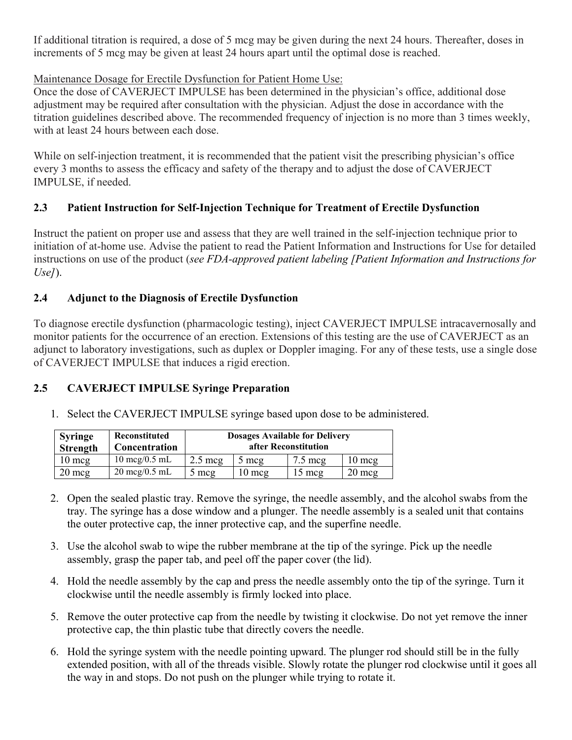If additional titration is required, a dose of 5 mcg may be given during the next 24 hours. Thereafter, doses in increments of 5 mcg may be given at least 24 hours apart until the optimal dose is reached.

# Maintenance Dosage for Erectile Dysfunction for Patient Home Use:

Once the dose of CAVERJECT IMPULSE has been determined in the physician's office, additional dose adjustment may be required after consultation with the physician. Adjust the dose in accordance with the titration guidelines described above. The recommended frequency of injection is no more than 3 times weekly, with at least 24 hours between each dose.

While on self-injection treatment, it is recommended that the patient visit the prescribing physician's office every 3 months to assess the efficacy and safety of the therapy and to adjust the dose of CAVERJECT IMPULSE, if needed.

# **2.3 Patient Instruction for Self-Injection Technique for Treatment of Erectile Dysfunction**

Instruct the patient on proper use and assess that they are well trained in the self-injection technique prior to initiation of at-home use. Advise the patient to read the Patient Information and Instructions for Use for detailed instructions on use of the product (*see FDA-approved patient labeling [Patient Information and Instructions for Use]*).

# **2.4 Adjunct to the Diagnosis of Erectile Dysfunction**

To diagnose erectile dysfunction (pharmacologic testing), inject CAVERJECT IMPULSE intracavernosally and monitor patients for the occurrence of an erection. Extensions of this testing are the use of CAVERJECT as an adjunct to laboratory investigations, such as duplex or Doppler imaging. For any of these tests, use a single dose of CAVERJECT IMPULSE that induces a rigid erection.

# **2.5 CAVERJECT IMPULSE Syringe Preparation**

1. Select the CAVERJECT IMPULSE syringe based upon dose to be administered.

| <b>Syringe</b><br><b>Strength</b> | Reconstituted<br><b>Concentration</b> | <b>Dosages Available for Delivery</b><br>after Reconstitution |                |                   |                 |
|-----------------------------------|---------------------------------------|---------------------------------------------------------------|----------------|-------------------|-----------------|
| $10 \text{ mg}$                   | $10 \text{~mcg}/0.5 \text{~mL}$       | $2.5 \text{~meq}$                                             | $5 \text{ mc}$ | $7.5 \text{~meq}$ | $10 \text{ mg}$ |
| $20 \text{ mcg}$                  | $20 \text{~mcg}/0.5 \text{~mL}$       | 5 meg                                                         | l 0 mcg        | $15 \text{ mcg}$  | $20$ mcg        |

- 2. Open the sealed plastic tray. Remove the syringe, the needle assembly, and the alcohol swabs from the tray. The syringe has a dose window and a plunger. The needle assembly is a sealed unit that contains the outer protective cap, the inner protective cap, and the superfine needle.
- 3. Use the alcohol swab to wipe the rubber membrane at the tip of the syringe. Pick up the needle assembly, grasp the paper tab, and peel off the paper cover (the lid).
- 4. Hold the needle assembly by the cap and press the needle assembly onto the tip of the syringe. Turn it clockwise until the needle assembly is firmly locked into place.
- 5. Remove the outer protective cap from the needle by twisting it clockwise. Do not yet remove the inner protective cap, the thin plastic tube that directly covers the needle.
- 6. Hold the syringe system with the needle pointing upward. The plunger rod should still be in the fully extended position, with all of the threads visible. Slowly rotate the plunger rod clockwise until it goes all the way in and stops. Do not push on the plunger while trying to rotate it.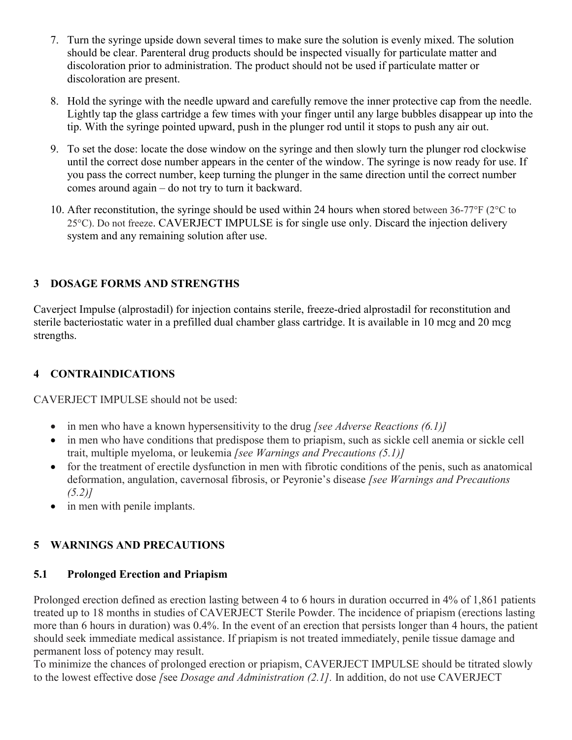- 7. Turn the syringe upside down several times to make sure the solution is evenly mixed. The solution should be clear. Parenteral drug products should be inspected visually for particulate matter and discoloration prior to administration. The product should not be used if particulate matter or discoloration are present.
- 8. Hold the syringe with the needle upward and carefully remove the inner protective cap from the needle. Lightly tap the glass cartridge a few times with your finger until any large bubbles disappear up into the tip. With the syringe pointed upward, push in the plunger rod until it stops to push any air out.
- 9. To set the dose: locate the dose window on the syringe and then slowly turn the plunger rod clockwise until the correct dose number appears in the center of the window. The syringe is now ready for use. If you pass the correct number, keep turning the plunger in the same direction until the correct number comes around again – do not try to turn it backward.
- 10. After reconstitution, the syringe should be used within 24 hours when stored between 36-77 $\degree$ F (2 $\degree$ C to 25°C). Do not freeze. CAVERJECT IMPULSE is for single use only. Discard the injection delivery system and any remaining solution after use.

# **3 DOSAGE FORMS AND STRENGTHS**

Caverject Impulse (alprostadil) for injection contains sterile, freeze-dried alprostadil for reconstitution and sterile bacteriostatic water in a prefilled dual chamber glass cartridge. It is available in 10 mcg and 20 mcg strengths.

# **4 CONTRAINDICATIONS**

CAVERJECT IMPULSE should not be used:

- in men who have a known hypersensitivity to the drug *[see Adverse Reactions (6.1)]*
- in men who have conditions that predispose them to priapism, such as sickle cell anemia or sickle cell trait, multiple myeloma, or leukemia *[see Warnings and Precautions (5.1)]*
- for the treatment of erectile dysfunction in men with fibrotic conditions of the penis, such as anatomical deformation, angulation, cavernosal fibrosis, or Peyronie's disease *[see Warnings and Precautions (5.2)]*
- in men with penile implants.

# **5 WARNINGS AND PRECAUTIONS**

# **5.1 Prolonged Erection and Priapism**

Prolonged erection defined as erection lasting between 4 to 6 hours in duration occurred in 4% of 1,861 patients treated up to 18 months in studies of CAVERJECT Sterile Powder. The incidence of priapism (erections lasting more than 6 hours in duration) was 0.4%. In the event of an erection that persists longer than 4 hours, the patient should seek immediate medical assistance. If priapism is not treated immediately, penile tissue damage and permanent loss of potency may result.

To minimize the chances of prolonged erection or priapism, CAVERJECT IMPULSE should be titrated slowly to the lowest effective dose *[*see *Dosage and Administration (2.1].* In addition, do not use CAVERJECT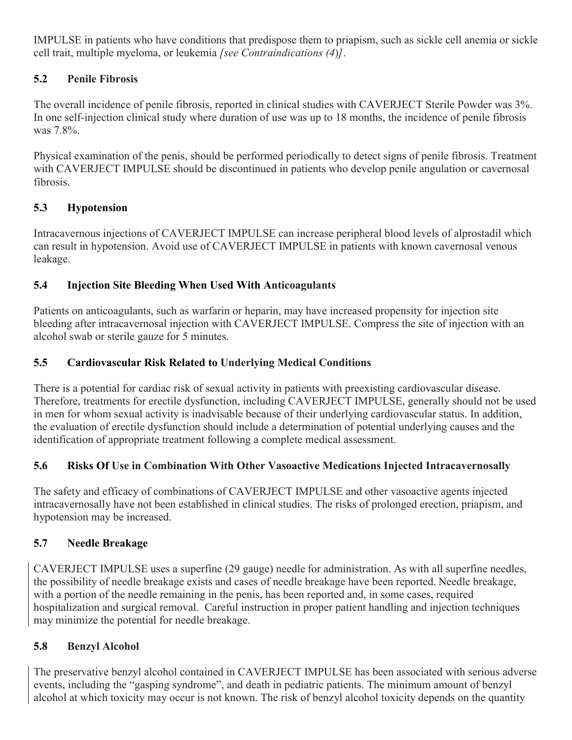IMPULSE in patients who have conditions that predispose them to priapism, such as sickle cell anemia or sickle cell trait, multiple myeloma, or leukemia *[see Contraindications (4*)*]*.

# **5.2 Penile Fibrosis**

The overall incidence of penile fibrosis, reported in clinical studies with CAVERJECT Sterile Powder was 3%. In one self-injection clinical study where duration of use was up to 18 months, the incidence of penile fibrosis was 7.8%.

Physical examination of the penis, should be performed periodically to detect signs of penile fibrosis. Treatment with CAVERJECT IMPULSE should be discontinued in patients who develop penile angulation or cavernosal fibrosis.

# **5.3 Hypotension**

Intracavernous injections of CAVERJECT IMPULSE can increase peripheral blood levels of alprostadil which can result in hypotension. Avoid use of CAVERJECT IMPULSE in patients with known cavernosal venous leakage.

# **5.4 Injection Site Bleeding When Used With Anticoagulants**

Patients on anticoagulants, such as warfarin or heparin, may have increased propensity for injection site bleeding after intracavernosal injection with CAVERJECT IMPULSE. Compress the site of injection with an alcohol swab or sterile gauze for 5 minutes.

# **5.5 Cardiovascular Risk Related to Underlying Medical Conditions**

There is a potential for cardiac risk of sexual activity in patients with preexisting cardiovascular disease. Therefore, treatments for erectile dysfunction, including CAVERJECT IMPULSE, generally should not be used in men for whom sexual activity is inadvisable because of their underlying cardiovascular status. In addition, the evaluation of erectile dysfunction should include a determination of potential underlying causes and the identification of appropriate treatment following a complete medical assessment.

# **5.6 Risks Of Use in Combination With Other Vasoactive Medications Injected Intracavernosally**

The safety and efficacy of combinations of CAVERJECT IMPULSE and other vasoactive agents injected intracavernosally have not been established in clinical studies. The risks of prolonged erection, priapism, and hypotension may be increased.

# **5.7 Needle Breakage**

CAVERJECT IMPULSE uses a superfine (29 gauge) needle for administration. As with all superfine needles, the possibility of needle breakage exists and cases of needle breakage have been reported. Needle breakage, with a portion of the needle remaining in the penis, has been reported and, in some cases, required hospitalization and surgical removal. Careful instruction in proper patient handling and injection techniques may minimize the potential for needle breakage.

# **5.8 Benzyl Alcohol**

The preservative benzyl alcohol contained in CAVERJECT IMPULSE has been associated with serious adverse events, including the "gasping syndrome", and death in pediatric patients. The minimum amount of benzyl alcohol at which toxicity may occur is not known. The risk of benzyl alcohol toxicity depends on the quantity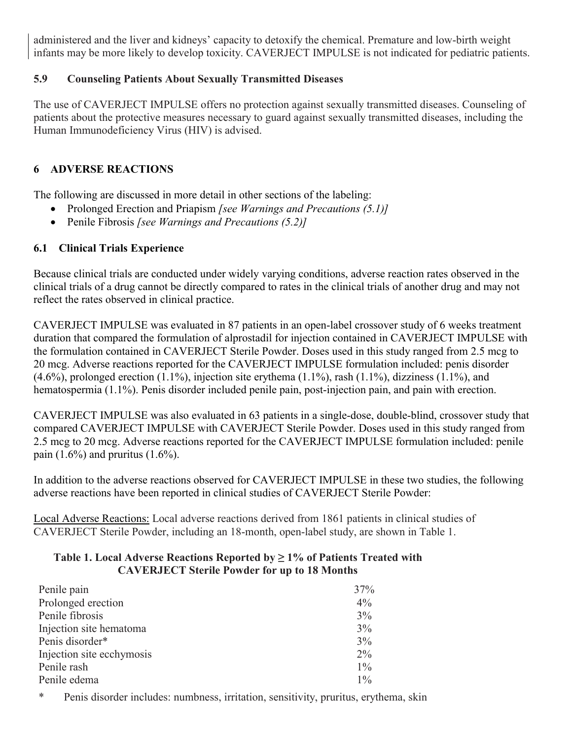administered and the liver and kidneys' capacity to detoxify the chemical. Premature and low-birth weight infants may be more likely to develop toxicity. CAVERJECT IMPULSE is not indicated for pediatric patients.

# **5.9 Counseling Patients About Sexually Transmitted Diseases**

The use of CAVERJECT IMPULSE offers no protection against sexually transmitted diseases. Counseling of patients about the protective measures necessary to guard against sexually transmitted diseases, including the Human Immunodeficiency Virus (HIV) is advised.

# **6 ADVERSE REACTIONS**

The following are discussed in more detail in other sections of the labeling:

- Prolonged Erection and Priapism *[see Warnings and Precautions (5.1)]*
- Penile Fibrosis *[see Warnings and Precautions (5.2)]*

# **6.1 Clinical Trials Experience**

Because clinical trials are conducted under widely varying conditions, adverse reaction rates observed in the clinical trials of a drug cannot be directly compared to rates in the clinical trials of another drug and may not reflect the rates observed in clinical practice.

CAVERJECT IMPULSE was evaluated in 87 patients in an open-label crossover study of 6 weeks treatment duration that compared the formulation of alprostadil for injection contained in CAVERJECT IMPULSE with the formulation contained in CAVERJECT Sterile Powder. Doses used in this study ranged from 2.5 mcg to 20 mcg. Adverse reactions reported for the CAVERJECT IMPULSE formulation included: penis disorder  $(4.6\%)$ , prolonged erection  $(1.1\%)$ , injection site erythema  $(1.1\%)$ , rash  $(1.1\%)$ , dizziness  $(1.1\%)$ , and hematospermia (1.1%). Penis disorder included penile pain, post-injection pain, and pain with erection.

CAVERJECT IMPULSE was also evaluated in 63 patients in a single-dose, double-blind, crossover study that compared CAVERJECT IMPULSE with CAVERJECT Sterile Powder. Doses used in this study ranged from 2.5 mcg to 20 mcg. Adverse reactions reported for the CAVERJECT IMPULSE formulation included: penile pain  $(1.6\%)$  and pruritus  $(1.6\%)$ .

In addition to the adverse reactions observed for CAVERJECT IMPULSE in these two studies, the following adverse reactions have been reported in clinical studies of CAVERJECT Sterile Powder:

Local Adverse Reactions: Local adverse reactions derived from 1861 patients in clinical studies of CAVERJECT Sterile Powder, including an 18-month, open-label study, are shown in Table 1.

#### **Table 1. Local Adverse Reactions Reported by ≥ 1% of Patients Treated with CAVERJECT Sterile Powder for up to 18 Months**

| Penile pain               | 37%   |
|---------------------------|-------|
| Prolonged erection        | $4\%$ |
| Penile fibrosis           | 3%    |
| Injection site hematoma   | 3%    |
| Penis disorder*           | 3%    |
| Injection site ecchymosis | $2\%$ |
| Penile rash               | $1\%$ |
| Penile edema              | $1\%$ |

\* Penis disorder includes: numbness, irritation, sensitivity, pruritus, erythema, skin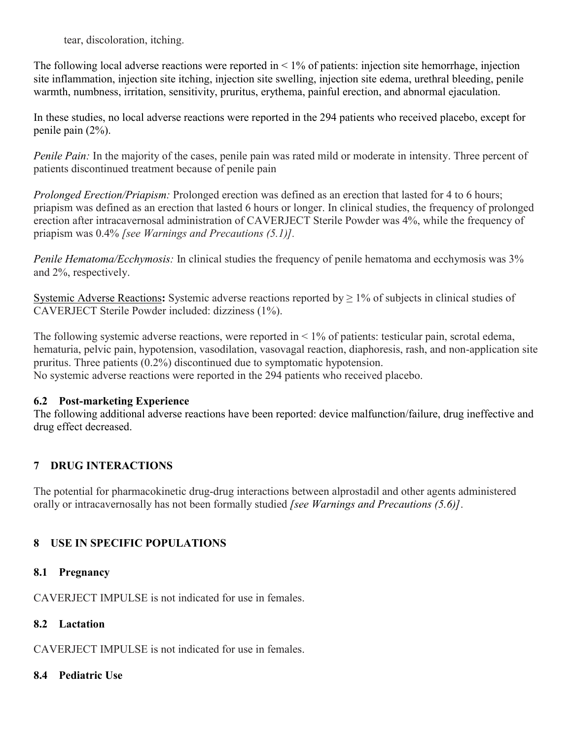tear, discoloration, itching.

The following local adverse reactions were reported in  $\leq 1\%$  of patients: injection site hemorrhage, injection site inflammation, injection site itching, injection site swelling, injection site edema, urethral bleeding, penile warmth, numbness, irritation, sensitivity, pruritus, erythema, painful erection, and abnormal ejaculation.

In these studies, no local adverse reactions were reported in the 294 patients who received placebo, except for penile pain (2%).

*Penile Pain:* In the majority of the cases, penile pain was rated mild or moderate in intensity. Three percent of patients discontinued treatment because of penile pain

*Prolonged Erection/Priapism:* Prolonged erection was defined as an erection that lasted for 4 to 6 hours; priapism was defined as an erection that lasted 6 hours or longer. In clinical studies, the frequency of prolonged erection after intracavernosal administration of CAVERJECT Sterile Powder was 4%, while the frequency of priapism was 0.4% *[see Warnings and Precautions (5.1)].*

*Penile Hematoma/Ecchymosis:* In clinical studies the frequency of penile hematoma and ecchymosis was 3% and 2%, respectively.

Systemic Adverse Reactions: Systemic adverse reactions reported by  $\geq 1\%$  of subjects in clinical studies of CAVERJECT Sterile Powder included: dizziness (1%).

The following systemic adverse reactions, were reported in < 1% of patients: testicular pain, scrotal edema, hematuria, pelvic pain, hypotension, vasodilation, vasovagal reaction, diaphoresis, rash, and non-application site pruritus. Three patients (0.2%) discontinued due to symptomatic hypotension. No systemic adverse reactions were reported in the 294 patients who received placebo.

# **6.2 Post-marketing Experience**

The following additional adverse reactions have been reported: device malfunction/failure, drug ineffective and drug effect decreased.

# **7 DRUG INTERACTIONS**

The potential for pharmacokinetic drug-drug interactions between alprostadil and other agents administered orally or intracavernosally has not been formally studied *[see Warnings and Precautions (5.6)]*.

# **8 USE IN SPECIFIC POPULATIONS**

# **8.1 Pregnancy**

CAVERJECT IMPULSE is not indicated for use in females.

# **8.2 Lactation**

CAVERJECT IMPULSE is not indicated for use in females.

# **8.4 Pediatric Use**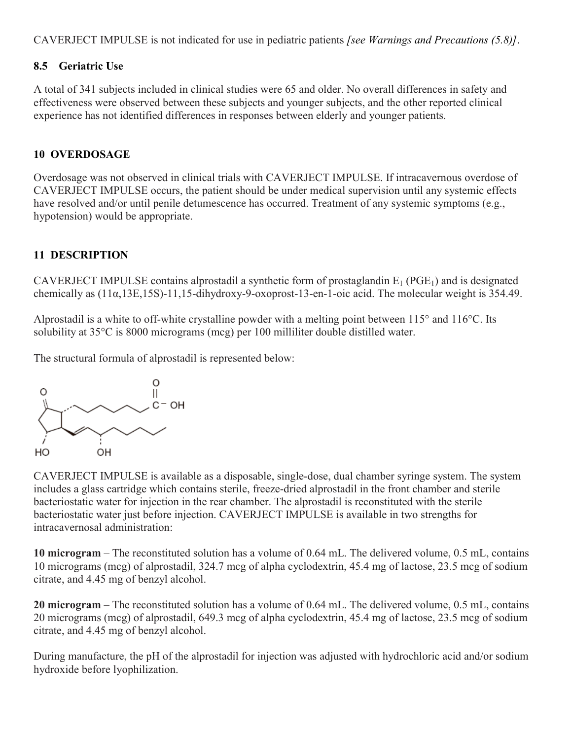CAVERJECT IMPULSE is not indicated for use in pediatric patients *[see Warnings and Precautions (5.8)]*.

# **8.5 Geriatric Use**

A total of 341 subjects included in clinical studies were 65 and older. No overall differences in safety and effectiveness were observed between these subjects and younger subjects, and the other reported clinical experience has not identified differences in responses between elderly and younger patients.

# **10 OVERDOSAGE**

Overdosage was not observed in clinical trials with CAVERJECT IMPULSE. If intracavernous overdose of CAVERJECT IMPULSE occurs, the patient should be under medical supervision until any systemic effects have resolved and/or until penile detumescence has occurred. Treatment of any systemic symptoms (e.g., hypotension) would be appropriate.

# **11 DESCRIPTION**

CAVERJECT IMPULSE contains alprostadil a synthetic form of prostaglandin  $E_1$  (PGE<sub>1</sub>) and is designated chemically as (11α,13E,15S)-11,15-dihydroxy-9-oxoprost-13-en-1-oic acid. The molecular weight is 354.49.

Alprostadil is a white to off-white crystalline powder with a melting point between 115° and 116°C. Its solubility at 35°C is 8000 micrograms (mcg) per 100 milliliter double distilled water.

The structural formula of alprostadil is represented below:



CAVERJECT IMPULSE is available as a disposable, single-dose, dual chamber syringe system. The system includes a glass cartridge which contains sterile, freeze-dried alprostadil in the front chamber and sterile bacteriostatic water for injection in the rear chamber. The alprostadil is reconstituted with the sterile bacteriostatic water just before injection. CAVERJECT IMPULSE is available in two strengths for intracavernosal administration:

**10 microgram** – The reconstituted solution has a volume of 0.64 mL. The delivered volume, 0.5 mL, contains 10 micrograms (mcg) of alprostadil, 324.7 mcg of alpha cyclodextrin, 45.4 mg of lactose, 23.5 mcg of sodium citrate, and 4.45 mg of benzyl alcohol.

**20 microgram** – The reconstituted solution has a volume of 0.64 mL. The delivered volume, 0.5 mL, contains 20 micrograms (mcg) of alprostadil, 649.3 mcg of alpha cyclodextrin, 45.4 mg of lactose, 23.5 mcg of sodium citrate, and 4.45 mg of benzyl alcohol.

During manufacture, the pH of the alprostadil for injection was adjusted with hydrochloric acid and/or sodium hydroxide before lyophilization.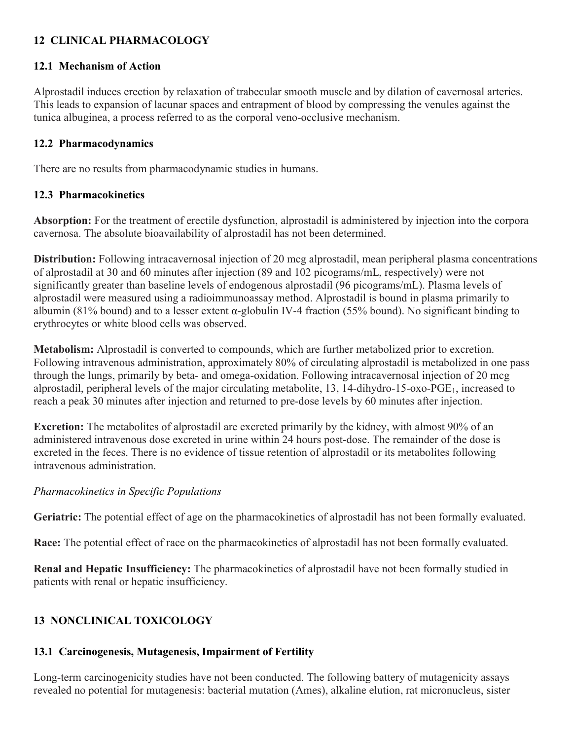# **12 CLINICAL PHARMACOLOGY**

#### **12.1 Mechanism of Action**

Alprostadil induces erection by relaxation of trabecular smooth muscle and by dilation of cavernosal arteries. This leads to expansion of lacunar spaces and entrapment of blood by compressing the venules against the tunica albuginea, a process referred to as the corporal veno-occlusive mechanism.

#### **12.2 Pharmacodynamics**

There are no results from pharmacodynamic studies in humans.

#### **12.3 Pharmacokinetics**

**Absorption:** For the treatment of erectile dysfunction, alprostadil is administered by injection into the corpora cavernosa. The absolute bioavailability of alprostadil has not been determined.

**Distribution:** Following intracavernosal injection of 20 mcg alprostadil, mean peripheral plasma concentrations of alprostadil at 30 and 60 minutes after injection (89 and 102 picograms/mL, respectively) were not significantly greater than baseline levels of endogenous alprostadil (96 picograms/mL). Plasma levels of alprostadil were measured using a radioimmunoassay method. Alprostadil is bound in plasma primarily to albumin (81% bound) and to a lesser extent α-globulin IV-4 fraction (55% bound). No significant binding to erythrocytes or white blood cells was observed.

**Metabolism:** Alprostadil is converted to compounds, which are further metabolized prior to excretion. Following intravenous administration, approximately 80% of circulating alprostadil is metabolized in one pass through the lungs, primarily by beta- and omega-oxidation. Following intracavernosal injection of 20 mcg alprostadil, peripheral levels of the major circulating metabolite,  $13$ ,  $14$ -dihydro-15-oxo-PGE<sub>1</sub>, increased to reach a peak 30 minutes after injection and returned to pre-dose levels by 60 minutes after injection.

**Excretion:** The metabolites of alprostadil are excreted primarily by the kidney, with almost 90% of an administered intravenous dose excreted in urine within 24 hours post-dose. The remainder of the dose is excreted in the feces. There is no evidence of tissue retention of alprostadil or its metabolites following intravenous administration.

#### *Pharmacokinetics in Specific Populations*

**Geriatric:** The potential effect of age on the pharmacokinetics of alprostadil has not been formally evaluated.

**Race:** The potential effect of race on the pharmacokinetics of alprostadil has not been formally evaluated.

**Renal and Hepatic Insufficiency:** The pharmacokinetics of alprostadil have not been formally studied in patients with renal or hepatic insufficiency.

# **13 NONCLINICAL TOXICOLOGY**

# **13.1 Carcinogenesis, Mutagenesis, Impairment of Fertility**

Long-term carcinogenicity studies have not been conducted. The following battery of mutagenicity assays revealed no potential for mutagenesis: bacterial mutation (Ames), alkaline elution, rat micronucleus, sister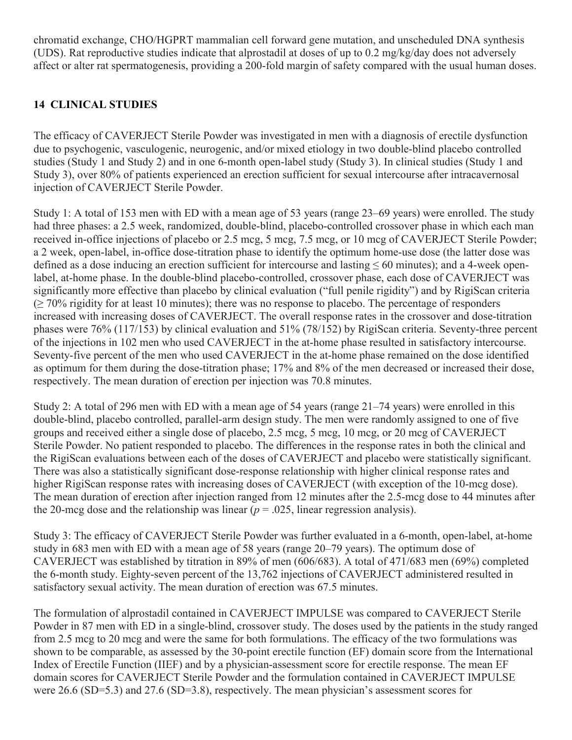chromatid exchange, CHO/HGPRT mammalian cell forward gene mutation, and unscheduled DNA synthesis (UDS). Rat reproductive studies indicate that alprostadil at doses of up to 0.2 mg/kg/day does not adversely affect or alter rat spermatogenesis, providing a 200-fold margin of safety compared with the usual human doses.

# **14 CLINICAL STUDIES**

The efficacy of CAVERJECT Sterile Powder was investigated in men with a diagnosis of erectile dysfunction due to psychogenic, vasculogenic, neurogenic, and/or mixed etiology in two double-blind placebo controlled studies (Study 1 and Study 2) and in one 6-month open-label study (Study 3). In clinical studies (Study 1 and Study 3), over 80% of patients experienced an erection sufficient for sexual intercourse after intracavernosal injection of CAVERJECT Sterile Powder.

Study 1: A total of 153 men with ED with a mean age of 53 years (range 23–69 years) were enrolled. The study had three phases: a 2.5 week, randomized, double-blind, placebo-controlled crossover phase in which each man received in-office injections of placebo or 2.5 mcg, 5 mcg, 7.5 mcg, or 10 mcg of CAVERJECT Sterile Powder; a 2 week, open-label, in-office dose-titration phase to identify the optimum home-use dose (the latter dose was defined as a dose inducing an erection sufficient for intercourse and lasting  $\leq 60$  minutes); and a 4-week openlabel, at-home phase. In the double-blind placebo-controlled, crossover phase, each dose of CAVERJECT was significantly more effective than placebo by clinical evaluation ("full penile rigidity") and by RigiScan criteria  $\geq$  70% rigidity for at least 10 minutes); there was no response to placebo. The percentage of responders increased with increasing doses of CAVERJECT. The overall response rates in the crossover and dose-titration phases were 76% (117/153) by clinical evaluation and 51% (78/152) by RigiScan criteria. Seventy-three percent of the injections in 102 men who used CAVERJECT in the at-home phase resulted in satisfactory intercourse. Seventy-five percent of the men who used CAVERJECT in the at-home phase remained on the dose identified as optimum for them during the dose-titration phase; 17% and 8% of the men decreased or increased their dose, respectively. The mean duration of erection per injection was 70.8 minutes.

Study 2: A total of 296 men with ED with a mean age of 54 years (range 21–74 years) were enrolled in this double-blind, placebo controlled, parallel-arm design study. The men were randomly assigned to one of five groups and received either a single dose of placebo, 2.5 mcg, 5 mcg, 10 mcg, or 20 mcg of CAVERJECT Sterile Powder. No patient responded to placebo. The differences in the response rates in both the clinical and the RigiScan evaluations between each of the doses of CAVERJECT and placebo were statistically significant. There was also a statistically significant dose-response relationship with higher clinical response rates and higher RigiScan response rates with increasing doses of CAVERJECT (with exception of the 10-mcg dose). The mean duration of erection after injection ranged from 12 minutes after the 2.5-mcg dose to 44 minutes after the 20-mcg dose and the relationship was linear  $(p = .025)$ , linear regression analysis).

Study 3: The efficacy of CAVERJECT Sterile Powder was further evaluated in a 6-month, open-label, at-home study in 683 men with ED with a mean age of 58 years (range 20–79 years). The optimum dose of CAVERJECT was established by titration in 89% of men (606/683). A total of 471/683 men (69%) completed the 6-month study. Eighty-seven percent of the 13,762 injections of CAVERJECT administered resulted in satisfactory sexual activity. The mean duration of erection was 67.5 minutes.

The formulation of alprostadil contained in CAVERJECT IMPULSE was compared to CAVERJECT Sterile Powder in 87 men with ED in a single-blind, crossover study. The doses used by the patients in the study ranged from 2.5 mcg to 20 mcg and were the same for both formulations. The efficacy of the two formulations was shown to be comparable, as assessed by the 30-point erectile function (EF) domain score from the International Index of Erectile Function (IIEF) and by a physician-assessment score for erectile response. The mean EF domain scores for CAVERJECT Sterile Powder and the formulation contained in CAVERJECT IMPULSE were 26.6 (SD=5.3) and 27.6 (SD=3.8), respectively. The mean physician's assessment scores for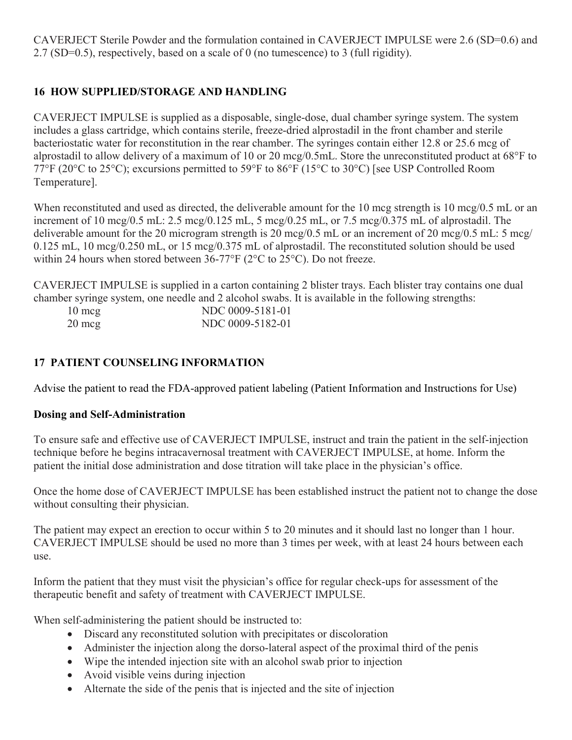CAVERJECT Sterile Powder and the formulation contained in CAVERJECT IMPULSE were 2.6 (SD=0.6) and 2.7 (SD=0.5), respectively, based on a scale of 0 (no tumescence) to 3 (full rigidity).

## **16 HOW SUPPLIED/STORAGE AND HANDLING**

CAVERJECT IMPULSE is supplied as a disposable, single-dose, dual chamber syringe system. The system includes a glass cartridge, which contains sterile, freeze-dried alprostadil in the front chamber and sterile bacteriostatic water for reconstitution in the rear chamber. The syringes contain either 12.8 or 25.6 mcg of alprostadil to allow delivery of a maximum of 10 or 20 mcg/0.5mL. Store the unreconstituted product at 68°F to 77°F (20°C to 25°C); excursions permitted to 59°F to 86°F (15°C to 30°C) [see USP Controlled Room Temperature].

When reconstituted and used as directed, the deliverable amount for the 10 mcg strength is 10 mcg/0.5 mL or an increment of 10 mcg/0.5 mL: 2.5 mcg/0.125 mL, 5 mcg/0.25 mL, or 7.5 mcg/0.375 mL of alprostadil. The deliverable amount for the 20 microgram strength is 20 mcg/0.5 mL or an increment of 20 mcg/0.5 mL: 5 mcg/ 0.125 mL, 10 mcg/0.250 mL, or 15 mcg/0.375 mL of alprostadil. The reconstituted solution should be used within 24 hours when stored between 36-77°F (2°C to 25°C). Do not freeze.

CAVERJECT IMPULSE is supplied in a carton containing 2 blister trays. Each blister tray contains one dual chamber syringe system, one needle and 2 alcohol swabs. It is available in the following strengths:

| $10 \text{ mcg}$ | NDC 0009-5181-01 |
|------------------|------------------|
| $20 \text{ mcg}$ | NDC 0009-5182-01 |

#### **17 PATIENT COUNSELING INFORMATION**

Advise the patient to read the FDA-approved patient labeling (Patient Information and Instructions for Use)

#### **Dosing and Self-Administration**

To ensure safe and effective use of CAVERJECT IMPULSE, instruct and train the patient in the self-injection technique before he begins intracavernosal treatment with CAVERJECT IMPULSE, at home. Inform the patient the initial dose administration and dose titration will take place in the physician's office.

Once the home dose of CAVERJECT IMPULSE has been established instruct the patient not to change the dose without consulting their physician.

The patient may expect an erection to occur within 5 to 20 minutes and it should last no longer than 1 hour. CAVERJECT IMPULSE should be used no more than 3 times per week, with at least 24 hours between each use.

Inform the patient that they must visit the physician's office for regular check-ups for assessment of the therapeutic benefit and safety of treatment with CAVERJECT IMPULSE.

When self-administering the patient should be instructed to:

- Discard any reconstituted solution with precipitates or discoloration
- Administer the injection along the dorso-lateral aspect of the proximal third of the penis
- Wipe the intended injection site with an alcohol swab prior to injection
- Avoid visible veins during injection
- Alternate the side of the penis that is injected and the site of injection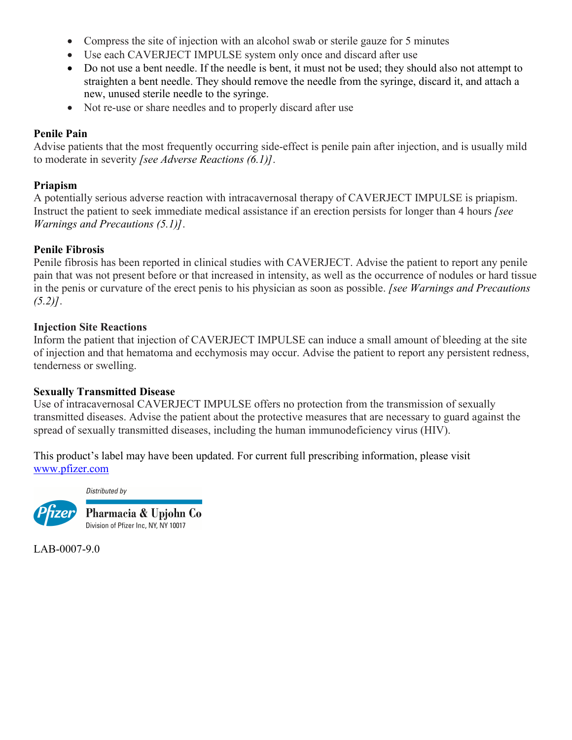- Compress the site of injection with an alcohol swab or sterile gauze for 5 minutes
- Use each CAVERJECT IMPULSE system only once and discard after use
- Do not use a bent needle. If the needle is bent, it must not be used; they should also not attempt to straighten a bent needle. They should remove the needle from the syringe, discard it, and attach a new, unused sterile needle to the syringe.
- Not re-use or share needles and to properly discard after use

#### **Penile Pain**

Advise patients that the most frequently occurring side-effect is penile pain after injection, and is usually mild to moderate in severity *[see Adverse Reactions (6.1)]*.

#### **Priapism**

A potentially serious adverse reaction with intracavernosal therapy of CAVERJECT IMPULSE is priapism. Instruct the patient to seek immediate medical assistance if an erection persists for longer than 4 hours *[see Warnings and Precautions (5.1)]*.

#### **Penile Fibrosis**

Penile fibrosis has been reported in clinical studies with CAVERJECT. Advise the patient to report any penile pain that was not present before or that increased in intensity, as well as the occurrence of nodules or hard tissue in the penis or curvature of the erect penis to his physician as soon as possible. *[see Warnings and Precautions (5.2)]*.

#### **Injection Site Reactions**

Inform the patient that injection of CAVERJECT IMPULSE can induce a small amount of bleeding at the site of injection and that hematoma and ecchymosis may occur. Advise the patient to report any persistent redness, tenderness or swelling.

#### **Sexually Transmitted Disease**

Use of intracavernosal CAVERJECT IMPULSE offers no protection from the transmission of sexually transmitted diseases. Advise the patient about the protective measures that are necessary to guard against the spread of sexually transmitted diseases, including the human immunodeficiency virus (HIV).

This product's label may have been updated. For current full prescribing information, please visit [www.pfizer.com](http://www.pfizer.com/)

Distributed by



LAB-0007-9.0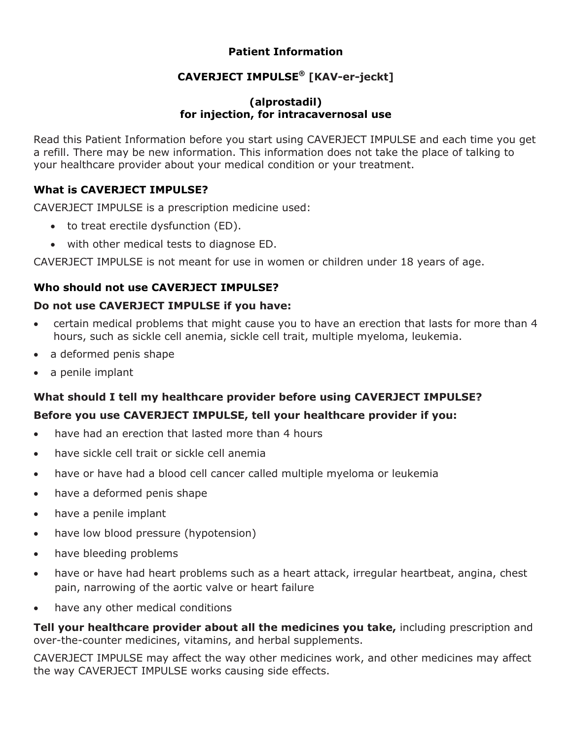# **Patient Information**

# **CAVERJECT IMPULSE® [KAV-er-jeckt]**

#### **(alprostadil) for injection, for intracavernosal use**

Read this Patient Information before you start using CAVERJECT IMPULSE and each time you get a refill. There may be new information. This information does not take the place of talking to your healthcare provider about your medical condition or your treatment.

# **What is CAVERJECT IMPULSE?**

CAVERJECT IMPULSE is a prescription medicine used:

- to treat erectile dysfunction (ED).
- with other medical tests to diagnose ED.

CAVERJECT IMPULSE is not meant for use in women or children under 18 years of age.

# **Who should not use CAVERJECT IMPULSE?**

# **Do not use CAVERJECT IMPULSE if you have:**

- certain medical problems that might cause you to have an erection that lasts for more than 4 hours, such as sickle cell anemia, sickle cell trait, multiple myeloma, leukemia.
- a deformed penis shape
- a penile implant

# **What should I tell my healthcare provider before using CAVERJECT IMPULSE?**

# **Before you use CAVERJECT IMPULSE, tell your healthcare provider if you:**

- have had an erection that lasted more than 4 hours
- have sickle cell trait or sickle cell anemia
- have or have had a blood cell cancer called multiple myeloma or leukemia
- have a deformed penis shape
- have a penile implant
- have low blood pressure (hypotension)
- have bleeding problems
- have or have had heart problems such as a heart attack, irregular heartbeat, angina, chest pain, narrowing of the aortic valve or heart failure
- have any other medical conditions

**Tell your healthcare provider about all the medicines you take,** including prescription and over-the-counter medicines, vitamins, and herbal supplements.

CAVERJECT IMPULSE may affect the way other medicines work, and other medicines may affect the way CAVERJECT IMPULSE works causing side effects.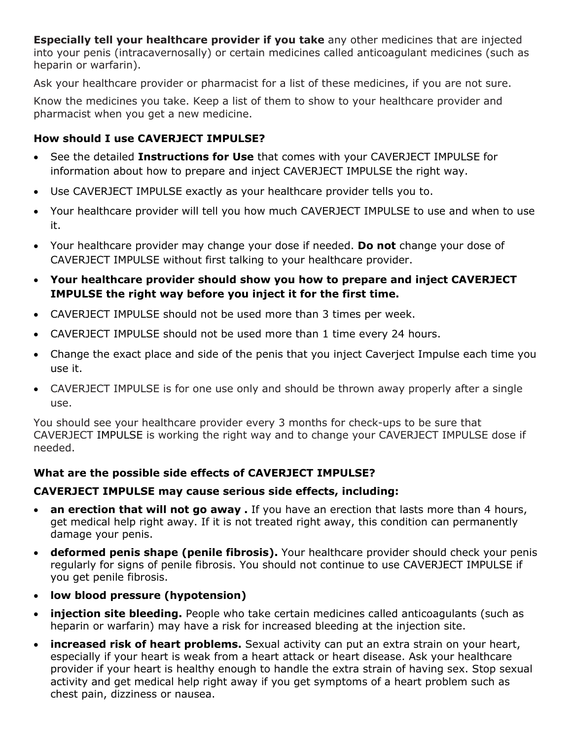**Especially tell your healthcare provider if you take** any other medicines that are injected into your penis (intracavernosally) or certain medicines called anticoagulant medicines (such as heparin or warfarin).

Ask your healthcare provider or pharmacist for a list of these medicines, if you are not sure.

Know the medicines you take. Keep a list of them to show to your healthcare provider and pharmacist when you get a new medicine.

# **How should I use CAVERJECT IMPULSE?**

- See the detailed **Instructions for Use** that comes with your CAVERJECT IMPULSE for information about how to prepare and inject CAVERJECT IMPULSE the right way.
- Use CAVERJECT IMPULSE exactly as your healthcare provider tells you to.
- Your healthcare provider will tell you how much CAVERJECT IMPULSE to use and when to use it.
- Your healthcare provider may change your dose if needed. **Do not** change your dose of CAVERJECT IMPULSE without first talking to your healthcare provider.
- **Your healthcare provider should show you how to prepare and inject CAVERJECT IMPULSE the right way before you inject it for the first time.**
- CAVERJECT IMPULSE should not be used more than 3 times per week.
- CAVERJECT IMPULSE should not be used more than 1 time every 24 hours.
- Change the exact place and side of the penis that you inject Caverject Impulse each time you use it.
- CAVERJECT IMPULSE is for one use only and should be thrown away properly after a single use.

You should see your healthcare provider every 3 months for check-ups to be sure that CAVERJECT IMPULSE is working the right way and to change your CAVERJECT IMPULSE dose if needed.

# **What are the possible side effects of CAVERJECT IMPULSE?**

# **CAVERJECT IMPULSE may cause serious side effects, including:**

- **an erection that will not go away .** If you have an erection that lasts more than 4 hours, get medical help right away. If it is not treated right away, this condition can permanently damage your penis.
- **deformed penis shape (penile fibrosis).** Your healthcare provider should check your penis regularly for signs of penile fibrosis. You should not continue to use CAVERJECT IMPULSE if you get penile fibrosis.
- **low blood pressure (hypotension)**
- **injection site bleeding.** People who take certain medicines called anticoagulants (such as heparin or warfarin) may have a risk for increased bleeding at the injection site.
- **increased risk of heart problems.** Sexual activity can put an extra strain on your heart, especially if your heart is weak from a heart attack or heart disease. Ask your healthcare provider if your heart is healthy enough to handle the extra strain of having sex. Stop sexual activity and get medical help right away if you get symptoms of a heart problem such as chest pain, dizziness or nausea.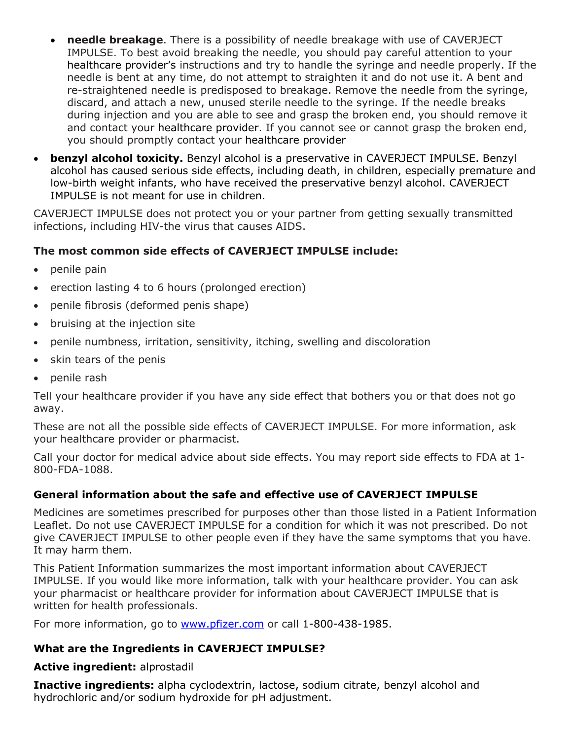- **needle breakage**. There is a possibility of needle breakage with use of CAVERJECT IMPULSE. To best avoid breaking the needle, you should pay careful attention to your healthcare provider's instructions and try to handle the syringe and needle properly. If the needle is bent at any time, do not attempt to straighten it and do not use it. A bent and re-straightened needle is predisposed to breakage. Remove the needle from the syringe, discard, and attach a new, unused sterile needle to the syringe. If the needle breaks during injection and you are able to see and grasp the broken end, you should remove it and contact your healthcare provider. If you cannot see or cannot grasp the broken end, you should promptly contact your healthcare provider
- **benzyl alcohol toxicity.** Benzyl alcohol is a preservative in CAVERJECT IMPULSE. Benzyl alcohol has caused serious side effects, including death, in children, especially premature and low-birth weight infants, who have received the preservative benzyl alcohol. CAVERJECT IMPULSE is not meant for use in children.

CAVERJECT IMPULSE does not protect you or your partner from getting sexually transmitted infections, including HIV-the virus that causes AIDS.

# **The most common side effects of CAVERJECT IMPULSE include:**

- penile pain
- erection lasting 4 to 6 hours (prolonged erection)
- penile fibrosis (deformed penis shape)
- bruising at the injection site
- penile numbness, irritation, sensitivity, itching, swelling and discoloration
- skin tears of the penis
- penile rash

Tell your healthcare provider if you have any side effect that bothers you or that does not go away.

These are not all the possible side effects of CAVERJECT IMPULSE. For more information, ask your healthcare provider or pharmacist.

Call your doctor for medical advice about side effects. You may report side effects to FDA at 1- 800-FDA-1088.

#### **General information about the safe and effective use of CAVERJECT IMPULSE**

Medicines are sometimes prescribed for purposes other than those listed in a Patient Information Leaflet. Do not use CAVERJECT IMPULSE for a condition for which it was not prescribed. Do not give CAVERJECT IMPULSE to other people even if they have the same symptoms that you have. It may harm them.

This Patient Information summarizes the most important information about CAVERJECT IMPULSE. If you would like more information, talk with your healthcare provider. You can ask your pharmacist or healthcare provider for information about CAVERJECT IMPULSE that is written for health professionals.

For more information, go to [www.pfizer.com](http://www.pfizer.com/) or call 1-800-438-1985.

#### **What are the Ingredients in CAVERJECT IMPULSE?**

#### **Active ingredient:** alprostadil

**Inactive ingredients:** alpha cyclodextrin, lactose, sodium citrate, benzyl alcohol and hydrochloric and/or sodium hydroxide for pH adjustment.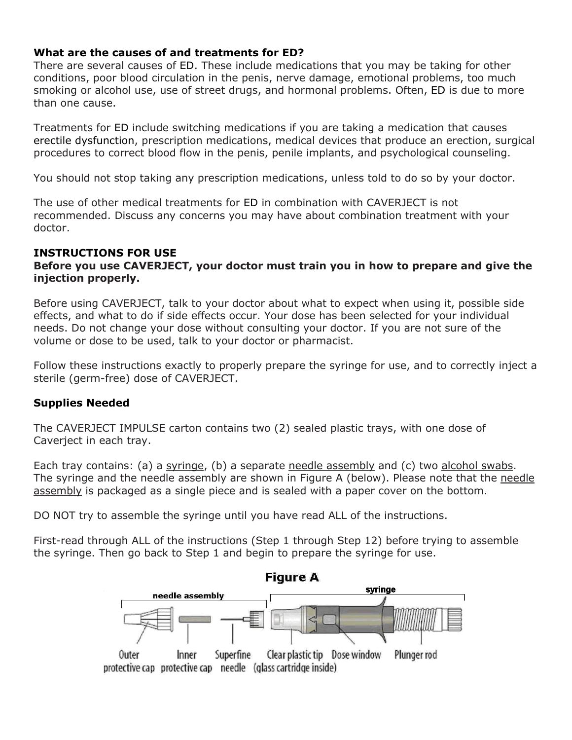#### **What are the causes of and treatments for ED?**

There are several causes of ED. These include medications that you may be taking for other conditions, poor blood circulation in the penis, nerve damage, emotional problems, too much smoking or alcohol use, use of street drugs, and hormonal problems. Often, ED is due to more than one cause.

Treatments for ED include switching medications if you are taking a medication that causes erectile dysfunction, prescription medications, medical devices that produce an erection, surgical procedures to correct blood flow in the penis, penile implants, and psychological counseling.

You should not stop taking any prescription medications, unless told to do so by your doctor.

The use of other medical treatments for ED in combination with CAVERJECT is not recommended. Discuss any concerns you may have about combination treatment with your doctor.

#### **INSTRUCTIONS FOR USE**

#### **Before you use CAVERJECT, your doctor must train you in how to prepare and give the injection properly.**

Before using CAVERJECT, talk to your doctor about what to expect when using it, possible side effects, and what to do if side effects occur. Your dose has been selected for your individual needs. Do not change your dose without consulting your doctor. If you are not sure of the volume or dose to be used, talk to your doctor or pharmacist.

Follow these instructions exactly to properly prepare the syringe for use, and to correctly inject a sterile (germ-free) dose of CAVERJECT.

#### **Supplies Needed**

The CAVERJECT IMPULSE carton contains two (2) sealed plastic trays, with one dose of Caverject in each tray.

Each tray contains: (a) a syringe, (b) a separate needle assembly and (c) two alcohol swabs. The syringe and the needle assembly are shown in Figure A (below). Please note that the needle assembly is packaged as a single piece and is sealed with a paper cover on the bottom.

DO NOT try to assemble the syringe until you have read ALL of the instructions.

First-read through ALL of the instructions (Step 1 through Step 12) before trying to assemble the syringe. Then go back to Step 1 and begin to prepare the syringe for use.

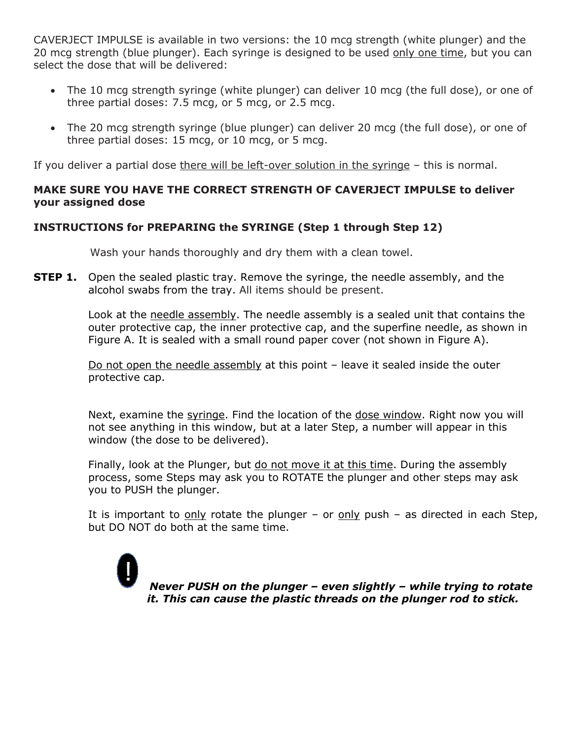CAVERJECT IMPULSE is available in two versions: the 10 mcg strength (white plunger) and the 20 mcg strength (blue plunger). Each syringe is designed to be used only one time, but you can select the dose that will be delivered:

- The 10 mcg strength syringe (white plunger) can deliver 10 mcg (the full dose), or one of three partial doses: 7.5 mcg, or 5 mcg, or 2.5 mcg.
- The 20 mcg strength syringe (blue plunger) can deliver 20 mcg (the full dose), or one of three partial doses: 15 mcg, or 10 mcg, or 5 mcg.

If you deliver a partial dose there will be left-over solution in the syringe – this is normal.

#### **MAKE SURE YOU HAVE THE CORRECT STRENGTH OF CAVERJECT IMPULSE to deliver your assigned dose**

# **INSTRUCTIONS for PREPARING the SYRINGE (Step 1 through Step 12)**

Wash your hands thoroughly and dry them with a clean towel.

**STEP 1.** Open the sealed plastic tray. Remove the syringe, the needle assembly, and the alcohol swabs from the tray. All items should be present.

> Look at the needle assembly. The needle assembly is a sealed unit that contains the outer protective cap, the inner protective cap, and the superfine needle, as shown in Figure A. It is sealed with a small round paper cover (not shown in Figure A).

Do not open the needle assembly at this point – leave it sealed inside the outer protective cap.

Next, examine the syringe. Find the location of the dose window. Right now you will not see anything in this window, but at a later Step, a number will appear in this window (the dose to be delivered).

Finally, look at the Plunger, but do not move it at this time. During the assembly process, some Steps may ask you to ROTATE the plunger and other steps may ask you to PUSH the plunger.

It is important to only rotate the plunger – or only push – as directed in each Step, but DO NOT do both at the same time.

*Never PUSH on the plunger – even slightly – while trying to rotate it. This can cause the plastic threads on the plunger rod to stick.*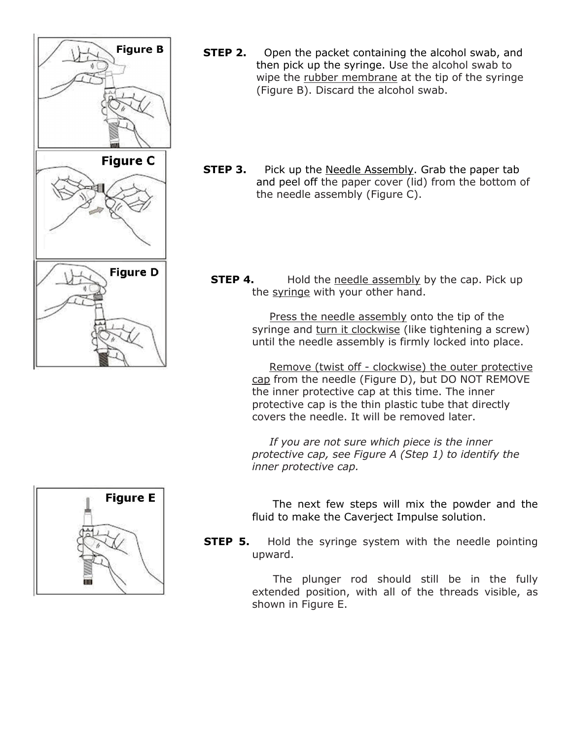

- **STEP 2.** Open the packet containing the alcohol swab, and then pick up the syringe. Use the alcohol swab to wipe the rubber membrane at the tip of the syringe (Figure B). Discard the alcohol swab.
- **STEP 3.** Pick up the Needle Assembly. Grab the paper tab and peel off the paper cover (lid) from the bottom of the needle assembly (Figure C).
	- **STEP 4.** Hold the needle assembly by the cap. Pick up the syringe with your other hand.

 Press the needle assembly onto the tip of the syringe and turn it clockwise (like tightening a screw) until the needle assembly is firmly locked into place.

 Remove (twist off - clockwise) the outer protective cap from the needle (Figure D), but DO NOT REMOVE the inner protective cap at this time. The inner protective cap is the thin plastic tube that directly covers the needle. It will be removed later.

 *If you are not sure which piece is the inner protective cap, see Figure A (Step 1) to identify the inner protective cap.*



 The next few steps will mix the powder and the fluid to make the Caverject Impulse solution.

**STEP 5.** Hold the syringe system with the needle pointing upward.

> The plunger rod should still be in the fully extended position, with all of the threads visible, as shown in Figure E.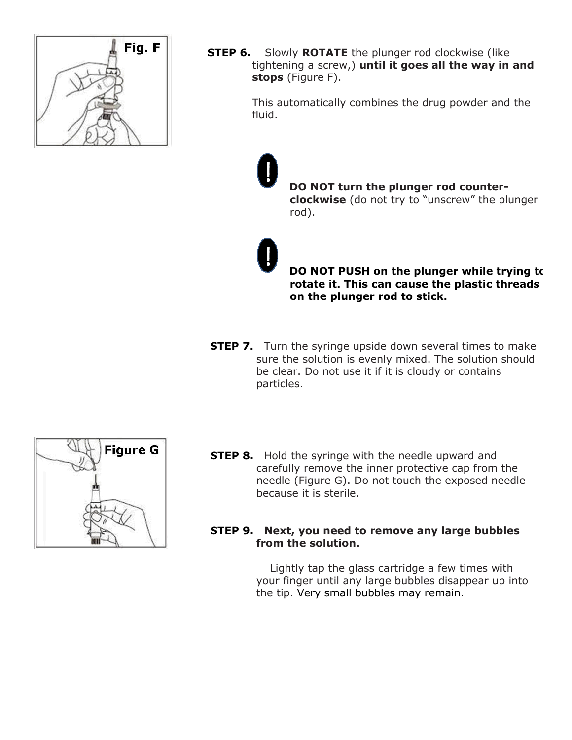

**STEP 6.** Slowly **ROTATE** the plunger rod clockwise (like tightening a screw,) **until it goes all the way in and stops** (Figure F).

> This automatically combines the drug powder and the fluid.

> > **DO NOT turn the plunger rod counterclockwise** (do not try to "unscrew" the plunger rod).

**DO NOT PUSH on the plunger while trying to rotate it. This can cause the plastic threads on the plunger rod to stick.**

**STEP 7.** Turn the syringe upside down several times to make sure the solution is evenly mixed. The solution should be clear. Do not use it if it is cloudy or contains particles.



**STEP 8.** Hold the syringe with the needle upward and carefully remove the inner protective cap from the needle (Figure G). Do not touch the exposed needle because it is sterile.

#### **STEP 9. Next, you need to remove any large bubbles from the solution.**

Lightly tap the glass cartridge a few times with your finger until any large bubbles disappear up into the tip. Very small bubbles may remain.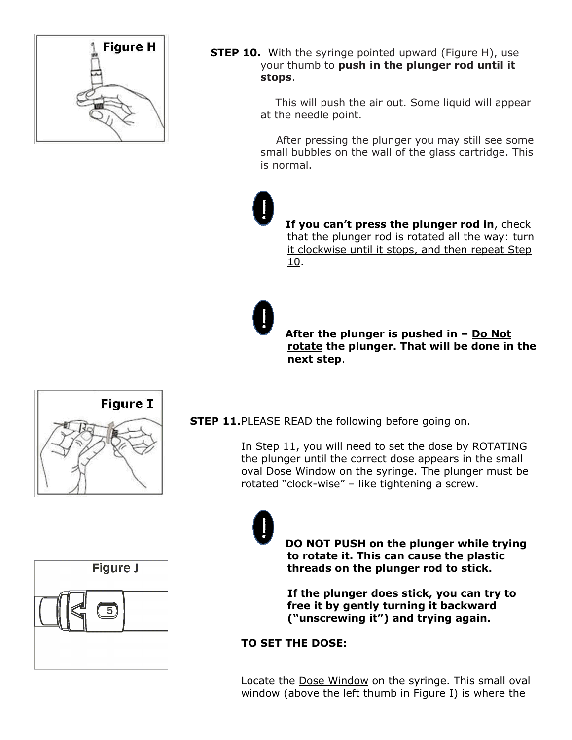

**STEP 10.** With the syringe pointed upward (Figure H), use your thumb to **push in the plunger rod until it stops**.

> This will push the air out. Some liquid will appear at the needle point.

 After pressing the plunger you may still see some small bubbles on the wall of the glass cartridge. This is normal.

**If you can't press the plunger rod in**, check that the plunger rod is rotated all the way: turn it clockwise until it stops, and then repeat Step 10.

**After the plunger is pushed in – Do Not rotate the plunger. That will be done in the next step**.





**STEP 11.**PLEASE READ the following before going on.

In Step 11, you will need to set the dose by ROTATING the plunger until the correct dose appears in the small oval Dose Window on the syringe. The plunger must be rotated "clock-wise" – like tightening a screw.

> **DO NOT PUSH on the plunger while trying to rotate it. This can cause the plastic threads on the plunger rod to stick.**

**If the plunger does stick, you can try to free it by gently turning it backward ("unscrewing it") and trying again.**

# **TO SET THE DOSE:**

Locate the Dose Window on the syringe. This small oval window (above the left thumb in Figure I) is where the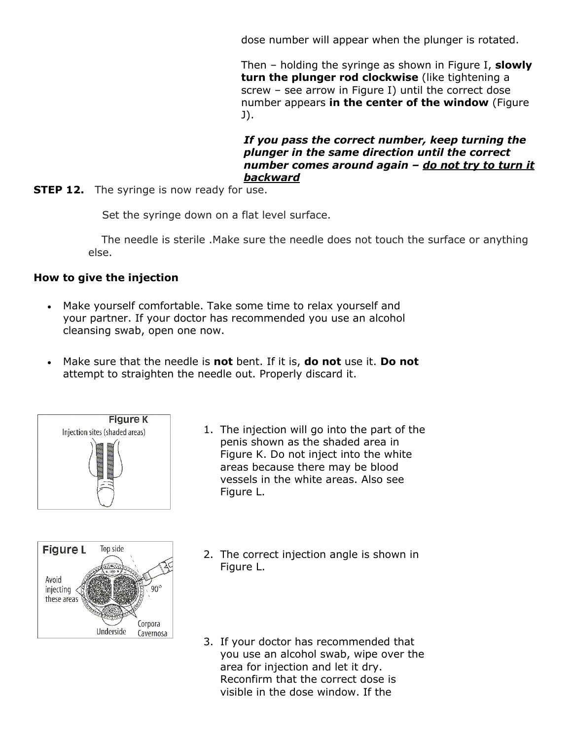dose number will appear when the plunger is rotated.

Then – holding the syringe as shown in Figure I, **slowly turn the plunger rod clockwise** (like tightening a screw – see arrow in Figure I) until the correct dose number appears **in the center of the window** (Figure J).

#### *If you pass the correct number, keep turning the plunger in the same direction until the correct number comes around again – do not try to turn it backward*

**STEP 12.** The syringe is now ready for use.

Set the syringe down on a flat level surface.

 The needle is sterile .Make sure the needle does not touch the surface or anything else.

#### **How to give the injection**

- Make yourself comfortable. Take some time to relax yourself and your partner. If your doctor has recommended you use an alcohol cleansing swab, open one now.
- Make sure that the needle is **not** bent. If it is, **do not** use it. **Do not**  attempt to straighten the needle out. Properly discard it.





- 1. The injection will go into the part of the penis shown as the shaded area in Figure K. Do not inject into the white areas because there may be blood vessels in the white areas. Also see Figure L.
- 2. The correct injection angle is shown in Figure L.
- 3. If your doctor has recommended that you use an alcohol swab, wipe over the area for injection and let it dry. Reconfirm that the correct dose is visible in the dose window. If the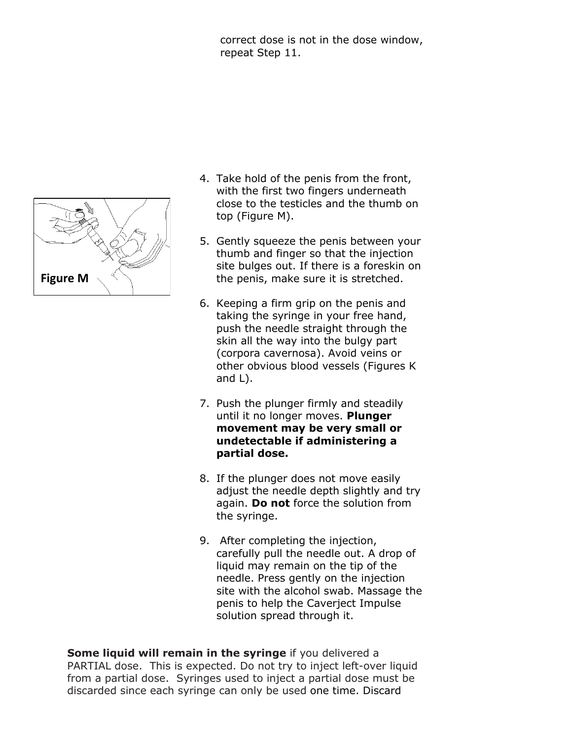correct dose is not in the dose window, repeat Step 11.



- 4. Take hold of the penis from the front, with the first two fingers underneath close to the testicles and the thumb on top (Figure M).
- 5. Gently squeeze the penis between your thumb and finger so that the injection site bulges out. If there is a foreskin on the penis, make sure it is stretched.
- 6. Keeping a firm grip on the penis and taking the syringe in your free hand, push the needle straight through the skin all the way into the bulgy part (corpora cavernosa). Avoid veins or other obvious blood vessels (Figures K and L).
- 7. Push the plunger firmly and steadily until it no longer moves. **Plunger movement may be very small or undetectable if administering a partial dose.**
- 8. If the plunger does not move easily adjust the needle depth slightly and try again. **Do not** force the solution from the syringe.
- 9. After completing the injection, carefully pull the needle out. A drop of liquid may remain on the tip of the needle. Press gently on the injection site with the alcohol swab. Massage the penis to help the Caverject Impulse solution spread through it.

**Some liquid will remain in the syringe** if you delivered a PARTIAL dose. This is expected. Do not try to inject left-over liquid from a partial dose. Syringes used to inject a partial dose must be discarded since each syringe can only be used one time. Discard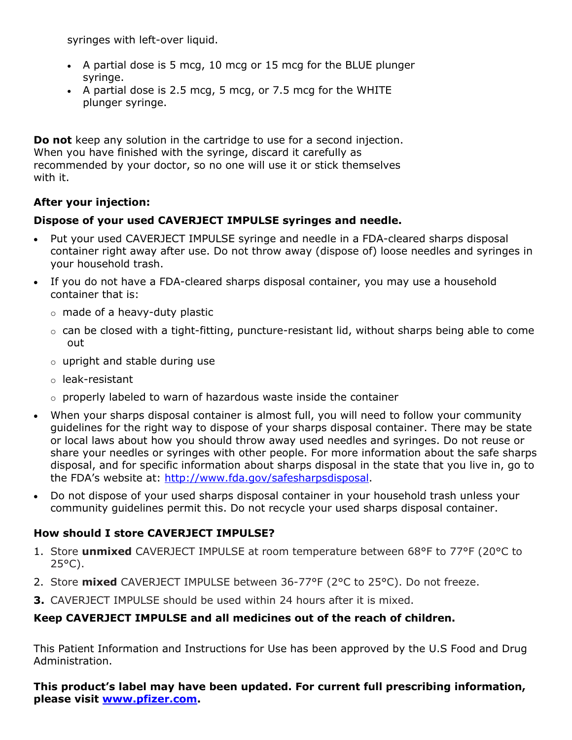syringes with left-over liquid.

- A partial dose is 5 mcg, 10 mcg or 15 mcg for the BLUE plunger syringe.
- $\bullet$  A partial dose is 2.5 mcg, 5 mcg, or 7.5 mcg for the WHITE plunger syringe.

**Do not** keep any solution in the cartridge to use for a second injection. When you have finished with the syringe, discard it carefully as recommended by your doctor, so no one will use it or stick themselves with it.

# **After your injection:**

# **Dispose of your used CAVERJECT IMPULSE syringes and needle.**

- Put your used CAVERJECT IMPULSE syringe and needle in a FDA-cleared sharps disposal container right away after use. Do not throw away (dispose of) loose needles and syringes in your household trash.
- If you do not have a FDA-cleared sharps disposal container, you may use a household container that is:
	- o made of a heavy-duty plastic
	- $\circ$  can be closed with a tight-fitting, puncture-resistant lid, without sharps being able to come out
	- $\circ$  upright and stable during use
	- o leak-resistant
	- o properly labeled to warn of hazardous waste inside the container
- When your sharps disposal container is almost full, you will need to follow your community guidelines for the right way to dispose of your sharps disposal container. There may be state or local laws about how you should throw away used needles and syringes. Do not reuse or share your needles or syringes with other people. For more information about the safe sharps disposal, and for specific information about sharps disposal in the state that you live in, go to the FDA's website at: [http://www.fda.gov/safesharpsdisposal.](http://www.fda.gov/safesharpsdisposal)
- Do not dispose of your used sharps disposal container in your household trash unless your community guidelines permit this. Do not recycle your used sharps disposal container.

# **How should I store CAVERJECT IMPULSE?**

- 1. Store **unmixed** CAVERJECT IMPULSE at room temperature between 68°F to 77°F (20°C to  $25^{\circ}$ C).
- 2. Store **mixed** CAVERJECT IMPULSE between 36-77°F (2°C to 25°C). Do not freeze.
- **3.** CAVERJECT IMPULSE should be used within 24 hours after it is mixed.

# **Keep CAVERJECT IMPULSE and all medicines out of the reach of children.**

This Patient Information and Instructions for Use has been approved by the U.S Food and Drug Administration.

**This product's label may have been updated. For current full prescribing information, please visit [www.pfizer.com](http://www.pfizer.com/).**